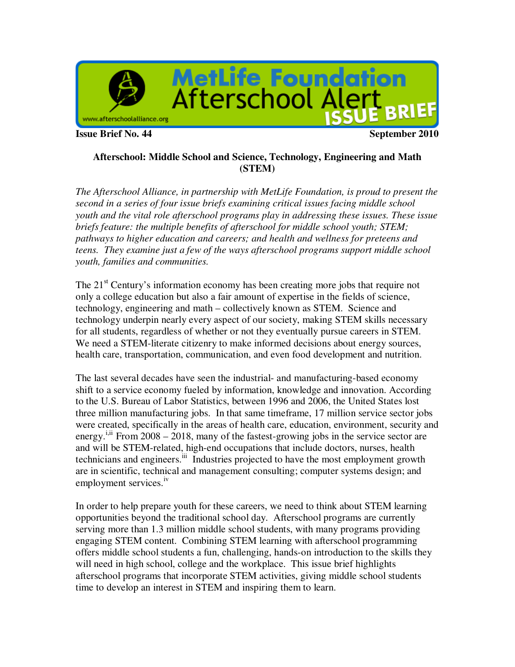

**Issue Brief No. 44** September 2010

### **Afterschool: Middle School and Science, Technology, Engineering and Math (STEM)**

*The Afterschool Alliance, in partnership with MetLife Foundation, is proud to present the second in a series of four issue briefs examining critical issues facing middle school youth and the vital role afterschool programs play in addressing these issues. These issue briefs feature: the multiple benefits of afterschool for middle school youth; STEM; pathways to higher education and careers; and health and wellness for preteens and teens. They examine just a few of the ways afterschool programs support middle school youth, families and communities.* 

The 21<sup>st</sup> Century's information economy has been creating more jobs that require not only a college education but also a fair amount of expertise in the fields of science, technology, engineering and math – collectively known as STEM. Science and technology underpin nearly every aspect of our society, making STEM skills necessary for all students, regardless of whether or not they eventually pursue careers in STEM. We need a STEM-literate citizenry to make informed decisions about energy sources, health care, transportation, communication, and even food development and nutrition.

The last several decades have seen the industrial- and manufacturing-based economy shift to a service economy fueled by information, knowledge and innovation. According to the U.S. Bureau of Labor Statistics, between 1996 and 2006, the United States lost three million manufacturing jobs. In that same timeframe, 17 million service sector jobs were created, specifically in the areas of health care, education, environment, security and energy.<sup>i,ii</sup> From 2008 – 2018, many of the fastest-growing jobs in the service sector are and will be STEM-related, high-end occupations that include doctors, nurses, health technicians and engineers.<sup>iii</sup> Industries projected to have the most employment growth are in scientific, technical and management consulting; computer systems design; and employment services.<sup>iv</sup>

In order to help prepare youth for these careers, we need to think about STEM learning opportunities beyond the traditional school day. Afterschool programs are currently serving more than 1.3 million middle school students, with many programs providing engaging STEM content. Combining STEM learning with afterschool programming offers middle school students a fun, challenging, hands-on introduction to the skills they will need in high school, college and the workplace. This issue brief highlights afterschool programs that incorporate STEM activities, giving middle school students time to develop an interest in STEM and inspiring them to learn.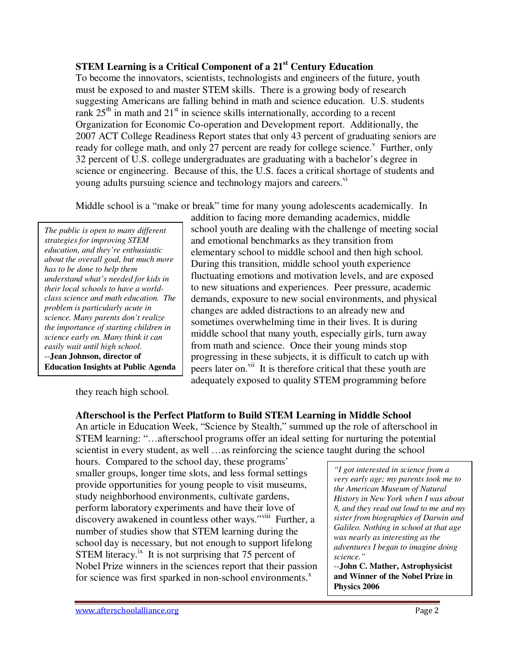# **STEM Learning is a Critical Component of a 21st Century Education**

To become the innovators, scientists, technologists and engineers of the future, youth must be exposed to and master STEM skills. There is a growing body of research suggesting Americans are falling behind in math and science education. U.S. students rank  $25<sup>th</sup>$  in math and  $21<sup>st</sup>$  in science skills internationally, according to a recent Organization for Economic Co-operation and Development report. Additionally, the 2007 ACT College Readiness Report states that only 43 percent of graduating seniors are ready for college math, and only  $27$  percent are ready for college science.<sup>v</sup> Further, only 32 percent of U.S. college undergraduates are graduating with a bachelor's degree in science or engineering. Because of this, the U.S. faces a critical shortage of students and young adults pursuing science and technology majors and careers.<sup>vi</sup>

Middle school is a "make or break" time for many young adolescents academically. In

*The public is open to many different strategies for improving STEM education, and they're enthusiastic about the overall goal, but much more has to be done to help them understand what's needed for kids in their local schools to have a worldclass science and math education. The problem is particularly acute in science. Many parents don't realize the importance of starting children in science early on. Many think it can easily wait until high school*. --**Jean Johnson, director of Education Insights at Public Agenda** 

addition to facing more demanding academics, middle school youth are dealing with the challenge of meeting social and emotional benchmarks as they transition from elementary school to middle school and then high school. During this transition, middle school youth experience fluctuating emotions and motivation levels, and are exposed to new situations and experiences. Peer pressure, academic demands, exposure to new social environments, and physical changes are added distractions to an already new and sometimes overwhelming time in their lives. It is during middle school that many youth, especially girls, turn away from math and science. Once their young minds stop progressing in these subjects, it is difficult to catch up with peers later on.<sup>vii</sup> It is therefore critical that these youth are adequately exposed to quality STEM programming before

they reach high school.

# **Afterschool is the Perfect Platform to Build STEM Learning in Middle School**

An article in Education Week, "Science by Stealth," summed up the role of afterschool in STEM learning: "…afterschool programs offer an ideal setting for nurturing the potential scientist in every student, as well …as reinforcing the science taught during the school

hours. Compared to the school day, these programs' smaller groups, longer time slots, and less formal settings provide opportunities for young people to visit museums, study neighborhood environments, cultivate gardens, perform laboratory experiments and have their love of discovery awakened in countless other ways."<sup>viii</sup> Further, a number of studies show that STEM learning during the school day is necessary, but not enough to support lifelong STEM literacy.<sup>ix</sup> It is not surprising that 75 percent of Nobel Prize winners in the sciences report that their passion for science was first sparked in non-school environments. $^x$ 

*"I got interested in science from a very early age; my parents took me to the American Museum of Natural History in New York when I was about 8, and they read out loud to me and my sister from biographies of Darwin and Galileo. Nothing in school at that age was nearly as interesting as the adventures I began to imagine doing science."* 

--**John C. Mather, Astrophysicist and Winner of the Nobel Prize in Physics 2006**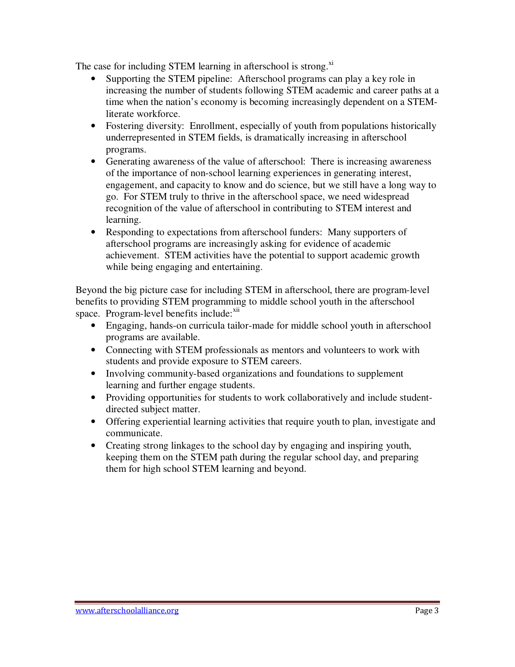The case for including STEM learning in afterschool is strong.<sup>xi</sup>

- Supporting the STEM pipeline: Afterschool programs can play a key role in increasing the number of students following STEM academic and career paths at a time when the nation's economy is becoming increasingly dependent on a STEMliterate workforce.
- Fostering diversity: Enrollment, especially of youth from populations historically underrepresented in STEM fields, is dramatically increasing in afterschool programs.
- Generating awareness of the value of afterschool: There is increasing awareness of the importance of non-school learning experiences in generating interest, engagement, and capacity to know and do science, but we still have a long way to go. For STEM truly to thrive in the afterschool space, we need widespread recognition of the value of afterschool in contributing to STEM interest and learning.
- Responding to expectations from afterschool funders: Many supporters of afterschool programs are increasingly asking for evidence of academic achievement. STEM activities have the potential to support academic growth while being engaging and entertaining.

Beyond the big picture case for including STEM in afterschool, there are program-level benefits to providing STEM programming to middle school youth in the afterschool space. Program-level benefits include:<sup>xii</sup>

- Engaging, hands-on curricula tailor-made for middle school youth in afterschool programs are available.
- Connecting with STEM professionals as mentors and volunteers to work with students and provide exposure to STEM careers.
- Involving community-based organizations and foundations to supplement learning and further engage students.
- Providing opportunities for students to work collaboratively and include studentdirected subject matter.
- Offering experiential learning activities that require youth to plan, investigate and communicate.
- Creating strong linkages to the school day by engaging and inspiring youth, keeping them on the STEM path during the regular school day, and preparing them for high school STEM learning and beyond.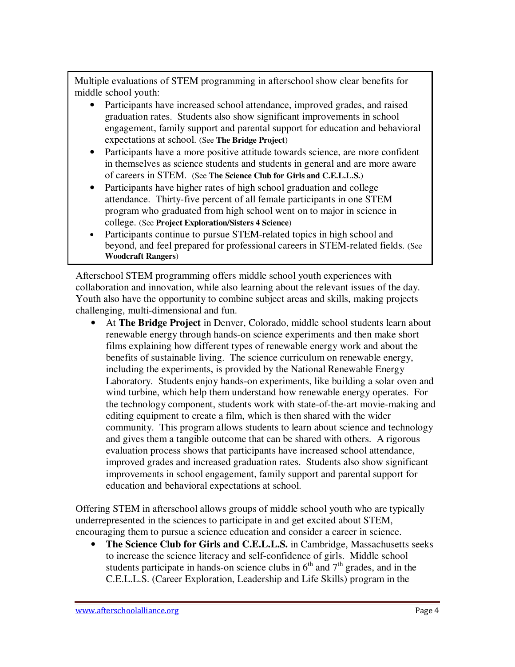Multiple evaluations of STEM programming in afterschool show clear benefits for middle school youth:

- Participants have increased school attendance, improved grades, and raised graduation rates. Students also show significant improvements in school engagement, family support and parental support for education and behavioral expectations at school. (See **The Bridge Project**)
- Participants have a more positive attitude towards science, are more confident in themselves as science students and students in general and are more aware of careers in STEM. (See **The Science Club for Girls and C.E.L.L.S.**)
- Participants have higher rates of high school graduation and college attendance. Thirty-five percent of all female participants in one STEM program who graduated from high school went on to major in science in college. (See **Project Exploration/Sisters 4 Science**)
- Participants continue to pursue STEM-related topics in high school and beyond, and feel prepared for professional careers in STEM-related fields. (See **Woodcraft Rangers**)

Afterschool STEM programming offers middle school youth experiences with collaboration and innovation, while also learning about the relevant issues of the day. Youth also have the opportunity to combine subject areas and skills, making projects challenging, multi-dimensional and fun.

• At **The Bridge Project** in Denver, Colorado, middle school students learn about renewable energy through hands-on science experiments and then make short films explaining how different types of renewable energy work and about the benefits of sustainable living. The science curriculum on renewable energy, including the experiments, is provided by the National Renewable Energy Laboratory. Students enjoy hands-on experiments, like building a solar oven and wind turbine, which help them understand how renewable energy operates. For the technology component, students work with state-of-the-art movie-making and editing equipment to create a film, which is then shared with the wider community. This program allows students to learn about science and technology and gives them a tangible outcome that can be shared with others. A rigorous evaluation process shows that participants have increased school attendance, improved grades and increased graduation rates. Students also show significant improvements in school engagement, family support and parental support for education and behavioral expectations at school.

Offering STEM in afterschool allows groups of middle school youth who are typically underrepresented in the sciences to participate in and get excited about STEM, encouraging them to pursue a science education and consider a career in science.

• **The Science Club for Girls and C.E.L.L.S.** in Cambridge, Massachusetts seeks to increase the science literacy and self-confidence of girls. Middle school students participate in hands-on science clubs in  $6<sup>th</sup>$  and  $7<sup>th</sup>$  grades, and in the C.E.L.L.S. (Career Exploration, Leadership and Life Skills) program in the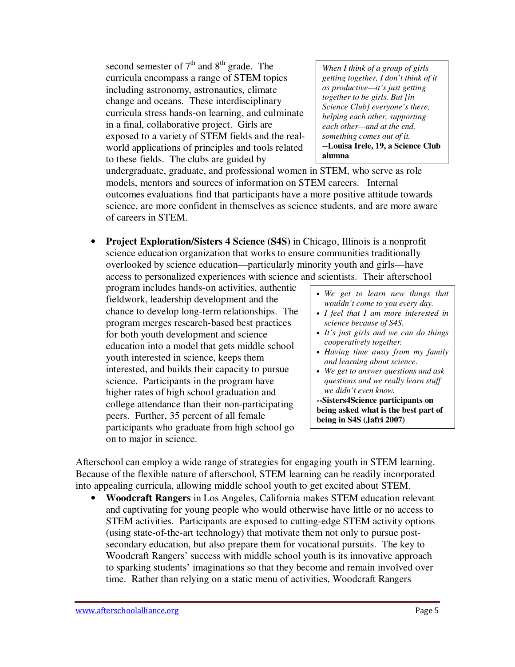second semester of  $7<sup>th</sup>$  and  $8<sup>th</sup>$  grade. The curricula encompass a range of STEM topics including astronomy, astronautics, climate change and oceans. These interdisciplinary curricula stress hands-on learning, and culminate in a final, collaborative project. Girls are exposed to a variety of STEM fields and the realworld applications of principles and tools related to these fields. The clubs are guided by

*When I think of a group of girls getting together, I don't think of it as productive—it's just getting together to be girls. But [in Science Club] everyone's there, helping each other, supporting each other—and at the end, something comes out of it.*  --**Louisa Irele, 19, a Science Club alumna**

undergraduate, graduate, and professional women in STEM, who serve as role models, mentors and sources of information on STEM careers. Internal outcomes evaluations find that participants have a more positive attitude towards science, are more confident in themselves as science students, and are more aware of careers in STEM.

• **Project Exploration/Sisters 4 Science (S4S)** in Chicago, Illinois is a nonprofit science education organization that works to ensure communities traditionally overlooked by science education—particularly minority youth and girls—have access to personalized experiences with science and scientists. Their afterschool

program includes hands-on activities, authentic fieldwork, leadership development and the chance to develop long-term relationships. The program merges research-based best practices for both youth development and science education into a model that gets middle school youth interested in science, keeps them interested, and builds their capacity to pursue science. Participants in the program have higher rates of high school graduation and college attendance than their non-participating peers. Further, 35 percent of all female participants who graduate from high school go on to major in science.

- *We get to learn new things that wouldn't come to you every day.*
- *I feel that I am more interested in science because of S4S.*
- *It's just girls and we can do things cooperatively together.*
- *Having time away from my family and learning about science.*
- *We get to answer questions and ask questions and we really learn stuff we didn't even know.*

**--Sisters4Science participants on being asked what is the best part of being in S4S (Jafri 2007)**

Afterschool can employ a wide range of strategies for engaging youth in STEM learning. Because of the flexible nature of afterschool, STEM learning can be readily incorporated into appealing curricula, allowing middle school youth to get excited about STEM.

• **Woodcraft Rangers** in Los Angeles, California makes STEM education relevant and captivating for young people who would otherwise have little or no access to STEM activities. Participants are exposed to cutting-edge STEM activity options (using state-of-the-art technology) that motivate them not only to pursue postsecondary education, but also prepare them for vocational pursuits. The key to Woodcraft Rangers' success with middle school youth is its innovative approach to sparking students' imaginations so that they become and remain involved over time. Rather than relying on a static menu of activities, Woodcraft Rangers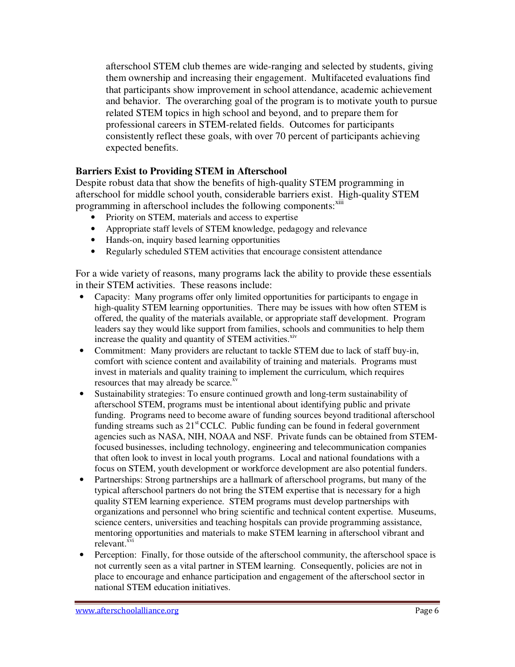afterschool STEM club themes are wide-ranging and selected by students, giving them ownership and increasing their engagement. Multifaceted evaluations find that participants show improvement in school attendance, academic achievement and behavior. The overarching goal of the program is to motivate youth to pursue related STEM topics in high school and beyond, and to prepare them for professional careers in STEM-related fields. Outcomes for participants consistently reflect these goals, with over 70 percent of participants achieving expected benefits.

## **Barriers Exist to Providing STEM in Afterschool**

Despite robust data that show the benefits of high-quality STEM programming in afterschool for middle school youth, considerable barriers exist. High-quality STEM programming in afterschool includes the following components:<sup>xiii</sup>

- Priority on STEM, materials and access to expertise
- Appropriate staff levels of STEM knowledge, pedagogy and relevance
- Hands-on, inquiry based learning opportunities
- Regularly scheduled STEM activities that encourage consistent attendance

For a wide variety of reasons, many programs lack the ability to provide these essentials in their STEM activities. These reasons include:

- Capacity: Many programs offer only limited opportunities for participants to engage in high-quality STEM learning opportunities. There may be issues with how often STEM is offered, the quality of the materials available, or appropriate staff development. Program leaders say they would like support from families, schools and communities to help them increase the quality and quantity of STEM activities.<sup>xiv</sup>
- Commitment: Many providers are reluctant to tackle STEM due to lack of staff buy-in, comfort with science content and availability of training and materials. Programs must invest in materials and quality training to implement the curriculum, which requires resources that may already be scarce.<sup>xv</sup>
- Sustainability strategies: To ensure continued growth and long-term sustainability of afterschool STEM, programs must be intentional about identifying public and private funding. Programs need to become aware of funding sources beyond traditional afterschool funding streams such as  $21<sup>st</sup>$  CCLC. Public funding can be found in federal government agencies such as NASA, NIH, NOAA and NSF. Private funds can be obtained from STEMfocused businesses, including technology, engineering and telecommunication companies that often look to invest in local youth programs. Local and national foundations with a focus on STEM, youth development or workforce development are also potential funders.
- Partnerships: Strong partnerships are a hallmark of afterschool programs, but many of the typical afterschool partners do not bring the STEM expertise that is necessary for a high quality STEM learning experience. STEM programs must develop partnerships with organizations and personnel who bring scientific and technical content expertise. Museums, science centers, universities and teaching hospitals can provide programming assistance, mentoring opportunities and materials to make STEM learning in afterschool vibrant and relevant.<sup>xvi</sup>
- Perception: Finally, for those outside of the afterschool community, the afterschool space is not currently seen as a vital partner in STEM learning. Consequently, policies are not in place to encourage and enhance participation and engagement of the afterschool sector in national STEM education initiatives.